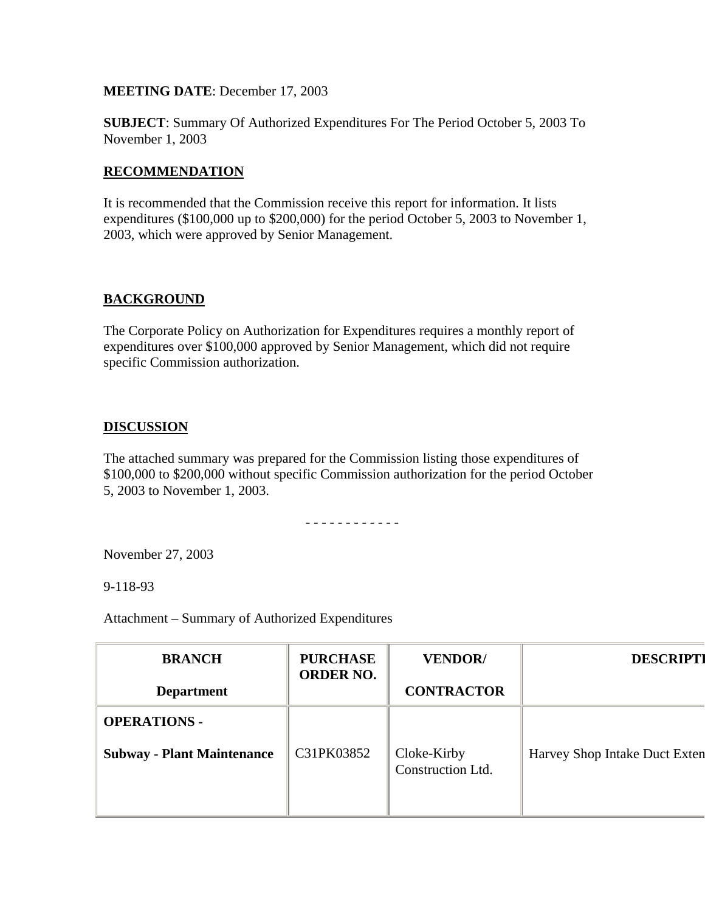**MEETING DATE**: December 17, 2003

**SUBJECT**: Summary Of Authorized Expenditures For The Period October 5, 2003 To November 1, 2003

## **RECOMMENDATION**

It is recommended that the Commission receive this report for information. It lists expenditures (\$100,000 up to \$200,000) for the period October 5, 2003 to November 1, 2003, which were approved by Senior Management.

## **BACKGROUND**

The Corporate Policy on Authorization for Expenditures requires a monthly report of expenditures over \$100,000 approved by Senior Management, which did not require specific Commission authorization.

## **DISCUSSION**

The attached summary was prepared for the Commission listing those expenditures of \$100,000 to \$200,000 without specific Commission authorization for the period October 5, 2003 to November 1, 2003.

- - - - - - - - - - - -

November 27, 2003

9-118-93

Attachment – Summary of Authorized Expenditures

| <b>BRANCH</b>                     | <b>PURCHASE</b><br><b>ORDER NO.</b> | <b>VENDOR/</b>                   | <b>DESCRIPTI</b>              |
|-----------------------------------|-------------------------------------|----------------------------------|-------------------------------|
| <b>Department</b>                 |                                     | <b>CONTRACTOR</b>                |                               |
| <b>OPERATIONS -</b>               |                                     |                                  |                               |
| <b>Subway - Plant Maintenance</b> | C31PK03852                          | Cloke-Kirby<br>Construction Ltd. | Harvey Shop Intake Duct Exten |